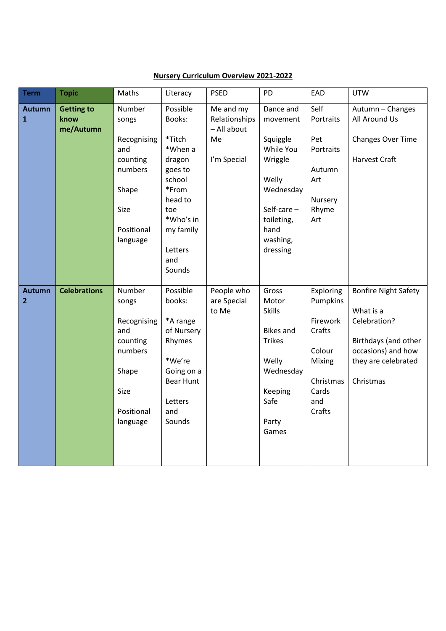| <b>Term</b>                     | <b>Topic</b>                           | Maths                                                                                                   | Literacy                                                                                                                                                | <b>PSED</b>                                                    | PD                                                                                                                                             | EAD                                                                                                    | <b>UTW</b>                                                                                                                                 |
|---------------------------------|----------------------------------------|---------------------------------------------------------------------------------------------------------|---------------------------------------------------------------------------------------------------------------------------------------------------------|----------------------------------------------------------------|------------------------------------------------------------------------------------------------------------------------------------------------|--------------------------------------------------------------------------------------------------------|--------------------------------------------------------------------------------------------------------------------------------------------|
| <b>Autumn</b><br>$\mathbf{1}$   | <b>Getting to</b><br>know<br>me/Autumn | Number<br>songs<br>Recognising<br>and<br>counting<br>numbers<br>Shape<br>Size<br>Positional<br>language | Possible<br>Books:<br>*Titch<br>*When a<br>dragon<br>goes to<br>school<br>*From<br>head to<br>toe<br>*Who's in<br>my family<br>Letters<br>and<br>Sounds | Me and my<br>Relationships<br>- All about<br>Me<br>I'm Special | Dance and<br>movement<br>Squiggle<br>While You<br>Wriggle<br>Welly<br>Wednesday<br>Self-care $-$<br>toileting,<br>hand<br>washing,<br>dressing | Self<br>Portraits<br>Pet<br>Portraits<br>Autumn<br>Art<br>Nursery<br>Rhyme<br>Art                      | Autumn - Changes<br>All Around Us<br>Changes Over Time<br>Harvest Craft                                                                    |
| <b>Autumn</b><br>$\overline{2}$ | <b>Celebrations</b>                    | Number<br>songs<br>Recognising<br>and<br>counting<br>numbers<br>Shape<br>Size<br>Positional<br>language | Possible<br>books:<br>*A range<br>of Nursery<br>Rhymes<br>*We're<br>Going on a<br><b>Bear Hunt</b><br>Letters<br>and<br>Sounds                          | People who<br>are Special<br>to Me                             | Gross<br>Motor<br><b>Skills</b><br><b>Bikes and</b><br><b>Trikes</b><br>Welly<br>Wednesday<br>Keeping<br>Safe<br>Party<br>Games                | Exploring<br>Pumpkins<br>Firework<br>Crafts<br>Colour<br>Mixing<br>Christmas<br>Cards<br>and<br>Crafts | <b>Bonfire Night Safety</b><br>What is a<br>Celebration?<br>Birthdays (and other<br>occasions) and how<br>they are celebrated<br>Christmas |

## **Nursery Curriculum Overview 2021-2022**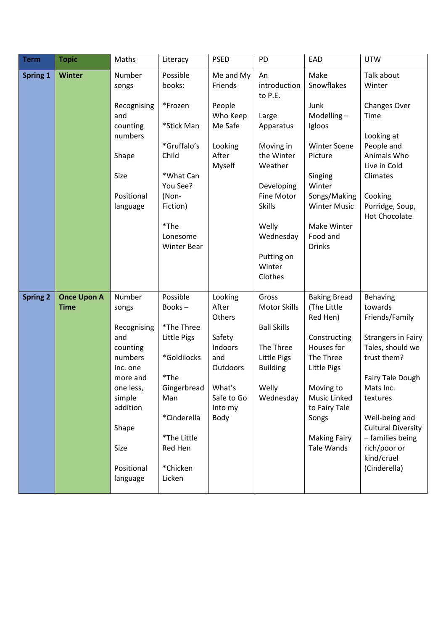| <b>Term</b>     | <b>Topic</b>                      | Maths                                                                                                                                                              | Literacy                                                                                                                                                           | <b>PSED</b>                                                                                                   | PD                                                                                                                                                                                                     | EAD                                                                                                                                                                                                  | <b>UTW</b>                                                                                                                                                                                                                                                                 |
|-----------------|-----------------------------------|--------------------------------------------------------------------------------------------------------------------------------------------------------------------|--------------------------------------------------------------------------------------------------------------------------------------------------------------------|---------------------------------------------------------------------------------------------------------------|--------------------------------------------------------------------------------------------------------------------------------------------------------------------------------------------------------|------------------------------------------------------------------------------------------------------------------------------------------------------------------------------------------------------|----------------------------------------------------------------------------------------------------------------------------------------------------------------------------------------------------------------------------------------------------------------------------|
| <b>Spring 1</b> | <b>Winter</b>                     | Number<br>songs<br>Recognising<br>and<br>counting<br>numbers<br>Shape<br>Size<br>Positional<br>language                                                            | Possible<br>books:<br>*Frozen<br>*Stick Man<br>*Gruffalo's<br>Child<br>*What Can<br>You See?<br>(Non-<br>Fiction)<br>*The<br>Lonesome<br><b>Winter Bear</b>        | Me and My<br>Friends<br>People<br>Who Keep<br>Me Safe<br>Looking<br>After<br>Myself                           | An<br>introduction<br>to P.E.<br>Large<br>Apparatus<br>Moving in<br>the Winter<br>Weather<br>Developing<br><b>Fine Motor</b><br><b>Skills</b><br>Welly<br>Wednesday<br>Putting on<br>Winter<br>Clothes | Make<br>Snowflakes<br>Junk<br>Modelling $-$<br>Igloos<br><b>Winter Scene</b><br>Picture<br>Singing<br>Winter<br>Songs/Making<br><b>Winter Music</b><br>Make Winter<br>Food and<br><b>Drinks</b>      | Talk about<br>Winter<br><b>Changes Over</b><br>Time<br>Looking at<br>People and<br>Animals Who<br>Live in Cold<br>Climates<br>Cooking<br>Porridge, Soup,<br><b>Hot Chocolate</b>                                                                                           |
| <b>Spring 2</b> | <b>Once Upon A</b><br><b>Time</b> | Number<br>songs<br>Recognising<br>and<br>counting<br>numbers<br>Inc. one<br>more and<br>one less,<br>simple<br>addition<br>Shape<br>Size<br>Positional<br>language | Possible<br>Books-<br>*The Three<br><b>Little Pigs</b><br>*Goldilocks<br>*The<br>Gingerbread<br>Man<br>*Cinderella<br>*The Little<br>Red Hen<br>*Chicken<br>Licken | Looking<br>After<br>Others<br>Safety<br>Indoors<br>and<br>Outdoors<br>What's<br>Safe to Go<br>Into my<br>Body | Gross<br><b>Motor Skills</b><br><b>Ball Skills</b><br>The Three<br><b>Little Pigs</b><br><b>Building</b><br>Welly<br>Wednesday                                                                         | <b>Baking Bread</b><br>(The Little<br>Red Hen)<br>Constructing<br>Houses for<br>The Three<br>Little Pigs<br>Moving to<br>Music Linked<br>to Fairy Tale<br>Songs<br><b>Making Fairy</b><br>Tale Wands | <b>Behaving</b><br>towards<br>Friends/Family<br><b>Strangers in Fairy</b><br>Tales, should we<br>trust them?<br>Fairy Tale Dough<br>Mats Inc.<br>textures<br>Well-being and<br><b>Cultural Diversity</b><br>- families being<br>rich/poor or<br>kind/cruel<br>(Cinderella) |